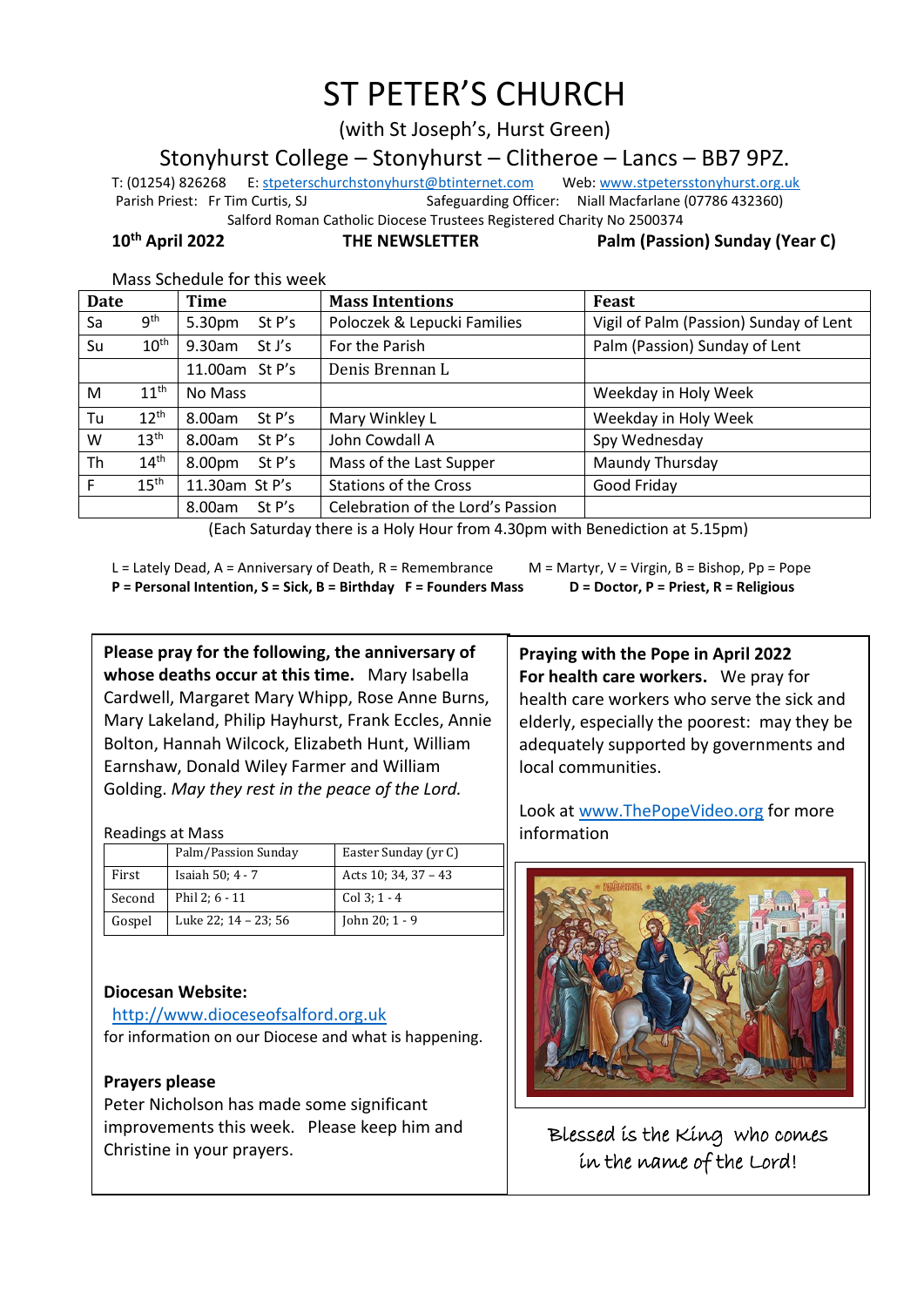# ST PETER'S CHURCH

(with St Joseph's, Hurst Green)

Stonyhurst College – Stonyhurst – Clitheroe – Lancs – BB7 9PZ.

T: (01254) 826268 E[: stpeterschurchstonyhurst@btinternet.com](mailto:stpeterschurchstonyhurst@btinternet.com) Web[: www.stpetersstonyhurst.org.uk](http://www.stpetersstonyhurst.org.uk/) Parish Priest: Fr Tim Curtis, SJ Safeguarding Officer: Niall Macfarlane (07786 432360) Salford Roman Catholic Diocese Trustees Registered Charity No 2500374

**10th April 2022 THE NEWSLETTER Palm (Passion) Sunday (Year C)**

Mass Schedule for this week

|                  | Time                | <b>Mass Intentions</b>            | Feast                                  |
|------------------|---------------------|-----------------------------------|----------------------------------------|
| 9 <sup>th</sup>  | 5.30pm<br>St P's    | Poloczek & Lepucki Families       | Vigil of Palm (Passion) Sunday of Lent |
| $10^{\text{th}}$ | $9.30$ am<br>St J's | For the Parish                    | Palm (Passion) Sunday of Lent          |
|                  | 11.00am St P's      | Denis Brennan L                   |                                        |
| 11 <sup>th</sup> | No Mass             |                                   | Weekday in Holy Week                   |
| 12 <sup>th</sup> | St P's<br>8.00am    | Mary Winkley L                    | Weekday in Holy Week                   |
| 13 <sup>th</sup> | 8.00am<br>St P's    | John Cowdall A                    | Spy Wednesday                          |
| $14^{\text{th}}$ | 8.00pm<br>St P's    | Mass of the Last Supper           | Maundy Thursday                        |
| 15 <sup>th</sup> | 11.30am St P's      | <b>Stations of the Cross</b>      | Good Friday                            |
|                  | St $P's$<br>8.00am  | Celebration of the Lord's Passion |                                        |
|                  |                     |                                   |                                        |

(Each Saturday there is a Holy Hour from 4.30pm with Benediction at 5.15pm)

L = Lately Dead, A = Anniversary of Death, R = Remembrance M = Martyr, V = Virgin, B = Bishop, Pp = Pope **P = Personal Intention, S = Sick, B = Birthday F = Founders Mass D = Doctor, P = Priest, R = Religious**

**Please pray for the following, the anniversary of whose deaths occur at this time.** Mary Isabella Cardwell, Margaret Mary Whipp, Rose Anne Burns, Mary Lakeland, Philip Hayhurst, Frank Eccles, Annie Bolton, Hannah Wilcock, Elizabeth Hunt, William Earnshaw, Donald Wiley Farmer and William Golding. *May they rest in the peace of the Lord.*

Readings at Mass

|        | Palm/Passion Sunday  | Easter Sunday (yr C) |
|--------|----------------------|----------------------|
| First  | Isaiah 50; 4 - 7     | Acts $10:34,37-43$   |
| Second | Phil 2; 6 - 11       | Col 3: $1 - 4$       |
| Gospel | Luke 22; 14 - 23; 56 | John 20; 1 - 9       |

# **Diocesan Website:**

http://www.dioceseofsalford.org.uk for information on our Diocese and what is happening.

# **Prayers please**

Peter Nicholson has made some significant improvements this week. Please keep him and Christine in your prayers.

**Praying with the Pope in April 2022 For health care workers.** We pray for health care workers who serve the sick and elderly, especially the poorest: may they be adequately supported by governments and local communities.

Look at www.ThePopeVideo.org for more information



Blessed is the King who comes in the name of the Lord!

 $\overline{a}$